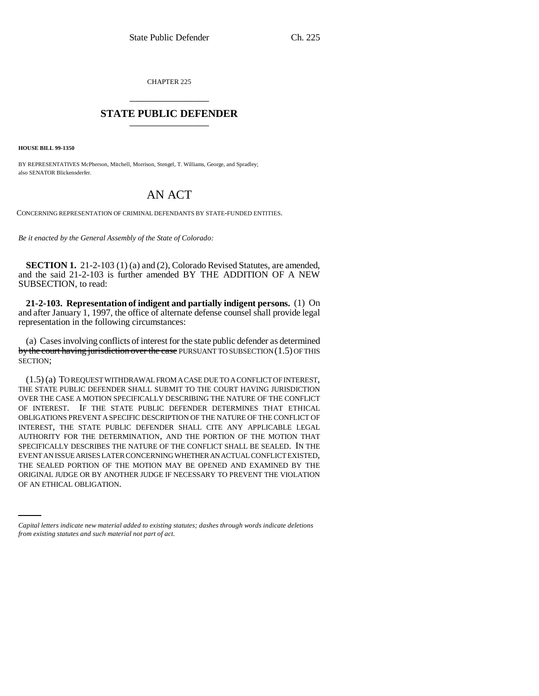CHAPTER 225 \_\_\_\_\_\_\_\_\_\_\_\_\_\_\_

## **STATE PUBLIC DEFENDER** \_\_\_\_\_\_\_\_\_\_\_\_\_\_\_

**HOUSE BILL 99-1350** 

BY REPRESENTATIVES McPherson, Mitchell, Morrison, Stengel, T. Williams, George, and Spradley; also SENATOR Blickensderfer.

## AN ACT

CONCERNING REPRESENTATION OF CRIMINAL DEFENDANTS BY STATE-FUNDED ENTITIES.

*Be it enacted by the General Assembly of the State of Colorado:*

**SECTION 1.** 21-2-103 (1) (a) and (2), Colorado Revised Statutes, are amended, and the said 21-2-103 is further amended BY THE ADDITION OF A NEW SUBSECTION, to read:

**21-2-103. Representation of indigent and partially indigent persons.** (1) On and after January 1, 1997, the office of alternate defense counsel shall provide legal representation in the following circumstances:

(a) Cases involving conflicts of interest for the state public defender as determined by the court having jurisdiction over the case PURSUANT TO SUBSECTION (1.5) OF THIS SECTION;

THE SEALED PORTION OF THE MOTION MAT BE OFENED AND EXAMINED BT THE ORIGINAL JUDGE OR BY ANOTHER JUDGE IF NECESSARY TO PREVENT THE VIOLATION (1.5) (a) TO REQUEST WITHDRAWAL FROM A CASE DUE TO A CONFLICT OF INTEREST, THE STATE PUBLIC DEFENDER SHALL SUBMIT TO THE COURT HAVING JURISDICTION OVER THE CASE A MOTION SPECIFICALLY DESCRIBING THE NATURE OF THE CONFLICT OF INTEREST. IF THE STATE PUBLIC DEFENDER DETERMINES THAT ETHICAL OBLIGATIONS PREVENT A SPECIFIC DESCRIPTION OF THE NATURE OF THE CONFLICT OF INTEREST, THE STATE PUBLIC DEFENDER SHALL CITE ANY APPLICABLE LEGAL AUTHORITY FOR THE DETERMINATION, AND THE PORTION OF THE MOTION THAT SPECIFICALLY DESCRIBES THE NATURE OF THE CONFLICT SHALL BE SEALED. IN THE EVENT AN ISSUE ARISES LATER CONCERNING WHETHER AN ACTUAL CONFLICT EXISTED, THE SEALED PORTION OF THE MOTION MAY BE OPENED AND EXAMINED BY THE OF AN ETHICAL OBLIGATION.

*Capital letters indicate new material added to existing statutes; dashes through words indicate deletions from existing statutes and such material not part of act.*